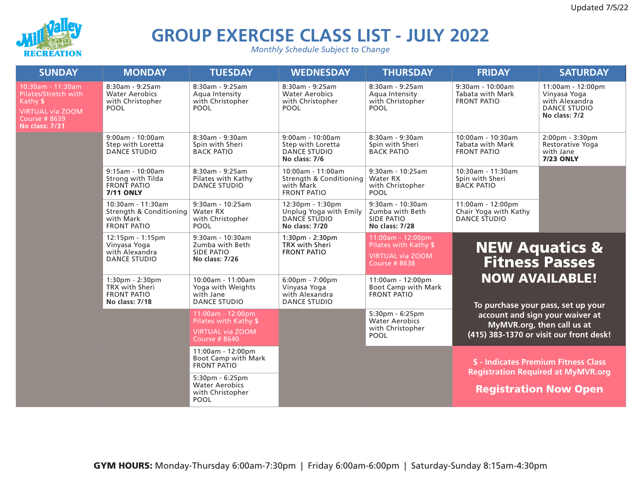

## **GROUP EXERCISE CLASS LIST - JULY 2022**

*Monthly Schedule Subject to Change*

| <b>SUNDAY</b>                                                                                                                     | <b>MONDAY</b>                                                                               | <b>TUESDAY</b>                                                                               | <b>WEDNESDAY</b>                                                                           | <b>THURSDAY</b>                                                                              | <b>FRIDAY</b>                                                                                                     | <b>SATURDAY</b>                                                                             |
|-----------------------------------------------------------------------------------------------------------------------------------|---------------------------------------------------------------------------------------------|----------------------------------------------------------------------------------------------|--------------------------------------------------------------------------------------------|----------------------------------------------------------------------------------------------|-------------------------------------------------------------------------------------------------------------------|---------------------------------------------------------------------------------------------|
| 10:30am - 11:30am<br>Pilates/Stretch with<br>Kathy \$<br><b>VIRTUAL via ZOOM</b><br><b>Course # 8639</b><br><b>No class: 7/31</b> | 8:30am - 9:25am<br><b>Water Aerobics</b><br>with Christopher<br><b>POOL</b>                 | 8:30am - 9:25am<br>Aqua Intensity<br>with Christopher<br><b>POOL</b>                         | 8:30am - 9:25am<br><b>Water Aerobics</b><br>with Christopher<br>POOL                       | 8:30am - 9:25am<br>Aqua Intensity<br>with Christopher<br><b>POOL</b>                         | $9:30$ am - 10:00am<br><b>Tabata with Mark</b><br><b>FRONT PATIO</b>                                              | 11:00am - 12:00pm<br>Vinyasa Yoga<br>with Alexandra<br><b>DANCE STUDIO</b><br>No class: 7/2 |
|                                                                                                                                   | $9:00am - 10:00am$<br>Step with Loretta<br><b>DANCE STUDIO</b>                              | 8:30am - 9:30am<br>Spin with Sheri<br><b>BACK PATIO</b>                                      | $9:00am - 10:00am$<br>Step with Loretta<br><b>DANCE STUDIO</b><br>No class: 7/6            | 8:30am - 9:30am<br>Spin with Sheri<br><b>BACK PATIO</b>                                      | 10:00am - 10:30am<br>Tabata with Mark<br><b>FRONT PATIO</b>                                                       | $2:00 \text{pm} - 3:30 \text{pm}$<br>Restorative Yoga<br>with Jane<br><b>7/23 ONLY</b>      |
|                                                                                                                                   | $9:15am - 10:00am$<br>Strong with Tilda<br><b>FRONT PATIO</b><br><b>7/11 ONLY</b>           | 8:30am - 9:25am<br>Pilates with Kathy<br><b>DANCE STUDIO</b>                                 | 10:00am - 11:00am<br>Strength & Conditioning   Water RX<br>with Mark<br><b>FRONT PATIO</b> | 9:30am - 10:25am<br>with Christopher<br>POOL                                                 | 10:30am - 11:30am<br>Spin with Sheri<br><b>BACK PATIO</b>                                                         |                                                                                             |
|                                                                                                                                   | 10:30am - 11:30am<br>Strength & Conditioning<br>with Mark<br><b>FRONT PATIO</b>             | 9:30am - 10:25am<br>Water RX<br>with Christopher<br><b>POOL</b>                              | $12:30pm - 1:30pm$<br>Unplug Yoga with Emily<br>DANCE STUDIO<br>No class: 7/20             | 9:30am - 10:30am<br>Zumba with Beth<br><b>SIDE PATIO</b><br>No class: 7/28                   | 11:00am - 12:00pm<br>Chair Yoga with Kathy<br><b>DANCE STUDIO</b>                                                 |                                                                                             |
|                                                                                                                                   | $12:15 \text{pm} - 1:15 \text{pm}$<br>Vinyasa Yoga<br>with Alexandra<br><b>DANCE STUDIO</b> | $9:30am - 10:30am$<br>Zumba with Beth<br><b>SIDE PATIO</b><br>No class: 7/26                 | $1:30pm - 2:30pm$<br>TRX with Sheri<br><b>FRONT PATIO</b>                                  | 11:00am - 12:00pm<br>Pilates with Kathy \$<br><b>VIRTUAL via ZOOM</b><br><b>Course #8638</b> | <b>NEW Aquatics &amp;</b><br><b>Fitness Passes</b><br><b>NOW AVAILABLE!</b><br>To purchase your pass, set up your |                                                                                             |
|                                                                                                                                   | 1:30pm - 2:30pm<br><b>TRX</b> with Sheri<br><b>FRONT PATIO</b><br>No class: 7/18            | 10:00am - 11:00am<br>Yoga with Weights<br>with Jane<br><b>DANCE STUDIO</b>                   | 6:00pm - 7:00pm<br>Vinyasa Yoga<br>with Alexandra<br><b>DANCE STUDIO</b>                   | 11:00am - 12:00pm<br>Boot Camp with Mark<br><b>FRONT PATIO</b>                               |                                                                                                                   |                                                                                             |
|                                                                                                                                   |                                                                                             | 11:00am - 12:00pm<br>Pilates with Kathy \$<br><b>VIRTUAL via ZOOM</b><br><b>Course #8640</b> |                                                                                            | $5:30pm - 6:25pm$<br><b>Water Aerobics</b><br>with Christopher<br><b>POOL</b>                | account and sign your waiver at<br>MyMVR.org, then call us at<br>(415) 383-1370 or visit our front desk!          |                                                                                             |
|                                                                                                                                   |                                                                                             | 11:00am - 12:00pm<br>Boot Camp with Mark<br><b>FRONT PATIO</b>                               |                                                                                            |                                                                                              | \$ - Indicates Premium Fitness Class<br><b>Registration Required at MyMVR.org</b><br><b>Registration Now Open</b> |                                                                                             |
|                                                                                                                                   |                                                                                             | $5:30pm - 6:25pm$<br><b>Water Aerobics</b><br>with Christopher<br>POOL                       |                                                                                            |                                                                                              |                                                                                                                   |                                                                                             |